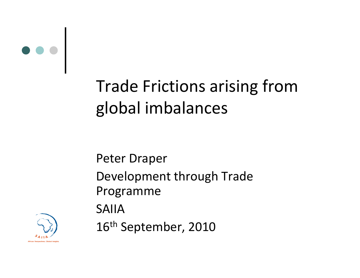

### Trade Frictions arising from global imbalances

Peter Draper Development through Trade Programme SAIIA16th September, <sup>2010</sup>

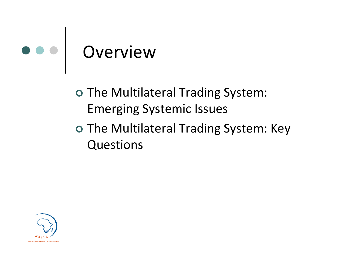# Overview

- o The Multilateral Trading System: Emerging Systemic Issues
- o The Multilateral Trading System: Key Questions

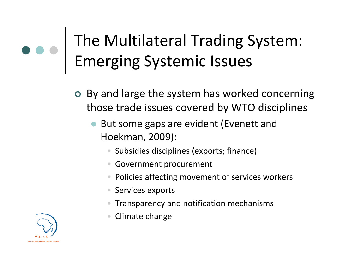- | By and large the system has worked concerning those trade issues covered by WTO disciplines
	- $\bullet$ But some gaps are evident (Evenett and Hoekman, 2009):
		- •Subsidies disciplines (exports; finance)
		- •Government procurement
		- •Policies affecting movement of services workers
		- $\bullet$ Services exports
		- •Transparency and notification mechanisms
		- •Climate change

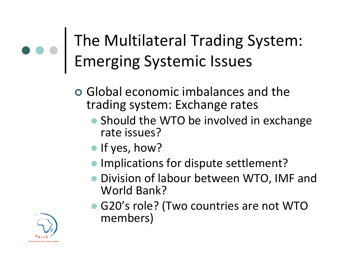- | Global economic imbalances and the trading system: Exchange rates
	- Should the WTO be involved in exchange rate issues?
	- If yes, how?
	- **Implications for dispute settlement?**
	- **Division of labour between WTO, IMF and** World Bank?
	- G20's role? (Two countries are not WTO members)

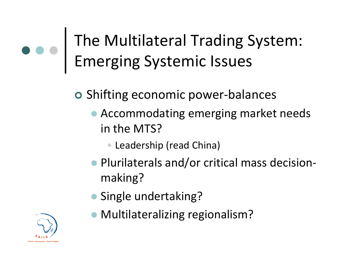#### | Shifting economic power‐balances

- **Accommodating emerging market needs** in the MTS?
	- Leadership (read China)
- Plurilaterals and/or critical mass decisionmaking?
- Single undertaking?
- Multilateralizing regionalism?

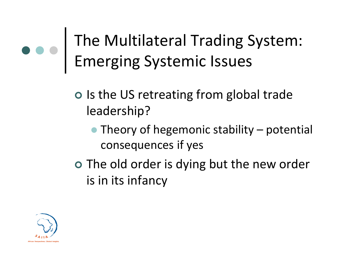

o Is the US retreating from global trade leadership?

- $\bullet$  Theory of hegemonic stability potential consequences if yes
- o The old order is dying but the new order is in its infancy

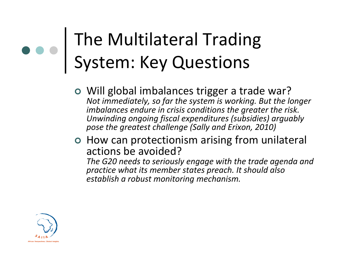## The Multilateral Trading System: Key Questions

**o** Will global imbalances trigger a trade war? *Not immediately, so far the system is working. But the longer imbalances endure in crisis conditions the greater the risk. Unwinding ongoing fiscal expenditures (subsidies) arguably pose the greatest challenge (Sally and Erixon, 2010)*

**o** How can protectionism arising from unilateral actions be avoided?

*The G20 needs to seriously engage with the trade agenda and practice what its member states preach. It should also establish <sup>a</sup> robust monitoring mechanism.*

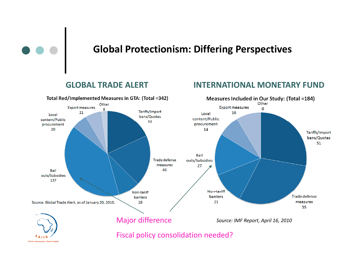

#### **GLOBAL TRADE ALERT**

#### **INTERNATIONAL MONETARY FUND**